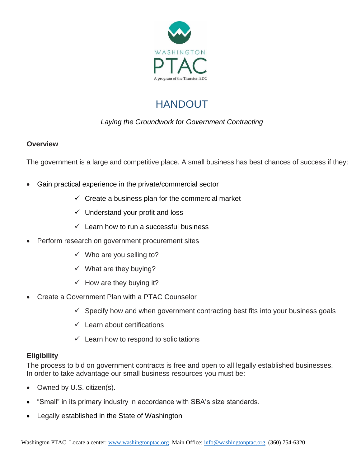

# HANDOUT

# *Laying the Groundwork for Government Contracting*

## **Overview**

The government is a large and competitive place. A small business has best chances of success if they:

- Gain practical experience in the private/commercial sector
	- $\checkmark$  Create a business plan for the commercial market
	- $\checkmark$  Understand your profit and loss
	- $\checkmark$  Learn how to run a successful business
- Perform research on government procurement sites
	- $\checkmark$  Who are you selling to?
	- $\checkmark$  What are they buying?
	- $\checkmark$  How are they buying it?
- Create a Government Plan with a PTAC Counselor
	- $\checkmark$  Specify how and when government contracting best fits into your business goals
	- $\checkmark$  Learn about certifications
	- $\checkmark$  Learn how to respond to solicitations

# **Eligibility**

The process to bid on government contracts is free and open to all legally established businesses. In order to take advantage our small business resources you must be:

- Owned by U.S. citizen(s).
- "Small" in its primary industry in accordance with SBA's size standards.
- Legally established in the State of Washington